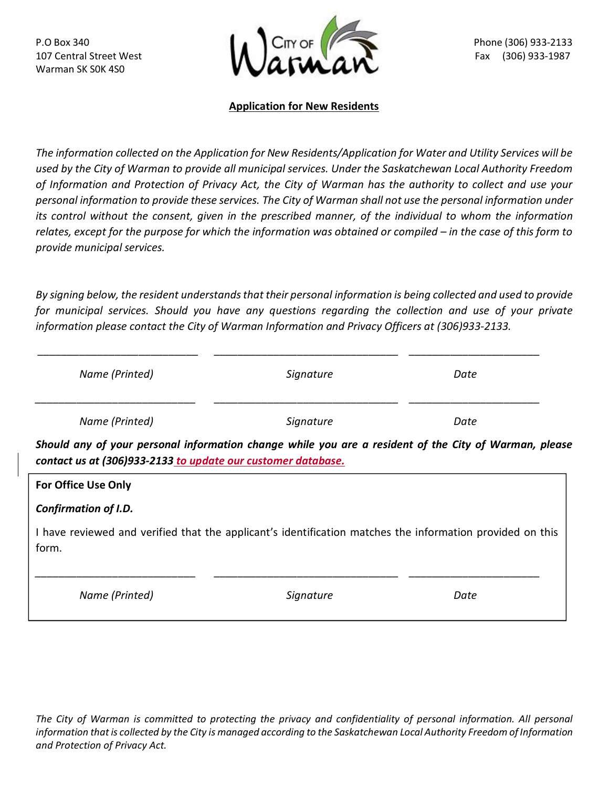Warman SK S0K 4S0



## **Application for New Residents**

*The information collected on the Application for New Residents/Application for Water and Utility Services will be used by the City of Warman to provide all municipal services. Under the Saskatchewan Local Authority Freedom of Information and Protection of Privacy Act, the City of Warman has the authority to collect and use your personal information to provide these services. The City of Warman shall not use the personal information under its control without the consent, given in the prescribed manner, of the individual to whom the information relates, except for the purpose for which the information was obtained or compiled – in the case of this form to provide municipal services.*

*By signing below, the resident understands that their personal information is being collected and used to provide for municipal services. Should you have any questions regarding the collection and use of your private information please contact the City of Warman Information and Privacy Officers at (306)933-2133.*

| Name (Printed)                                                                                                                                                        | Signature | Date |  |  |
|-----------------------------------------------------------------------------------------------------------------------------------------------------------------------|-----------|------|--|--|
| Name (Printed)                                                                                                                                                        | Signature | Date |  |  |
| Should any of your personal information change while you are a resident of the City of Warman, please<br>contact us at (306)933-2133 to update our customer database. |           |      |  |  |
| <b>For Office Use Only</b>                                                                                                                                            |           |      |  |  |
| Confirmation of I.D.                                                                                                                                                  |           |      |  |  |
| I have reviewed and verified that the applicant's identification matches the information provided on this<br>form.                                                    |           |      |  |  |
| Name (Printed)                                                                                                                                                        | Signature | Date |  |  |

The City of Warman is committed to protecting the privacy and confidentiality of personal information. All personal *information that is collected by the City is managed according to the Saskatchewan Local Authority Freedom of Information and Protection of Privacy Act.*